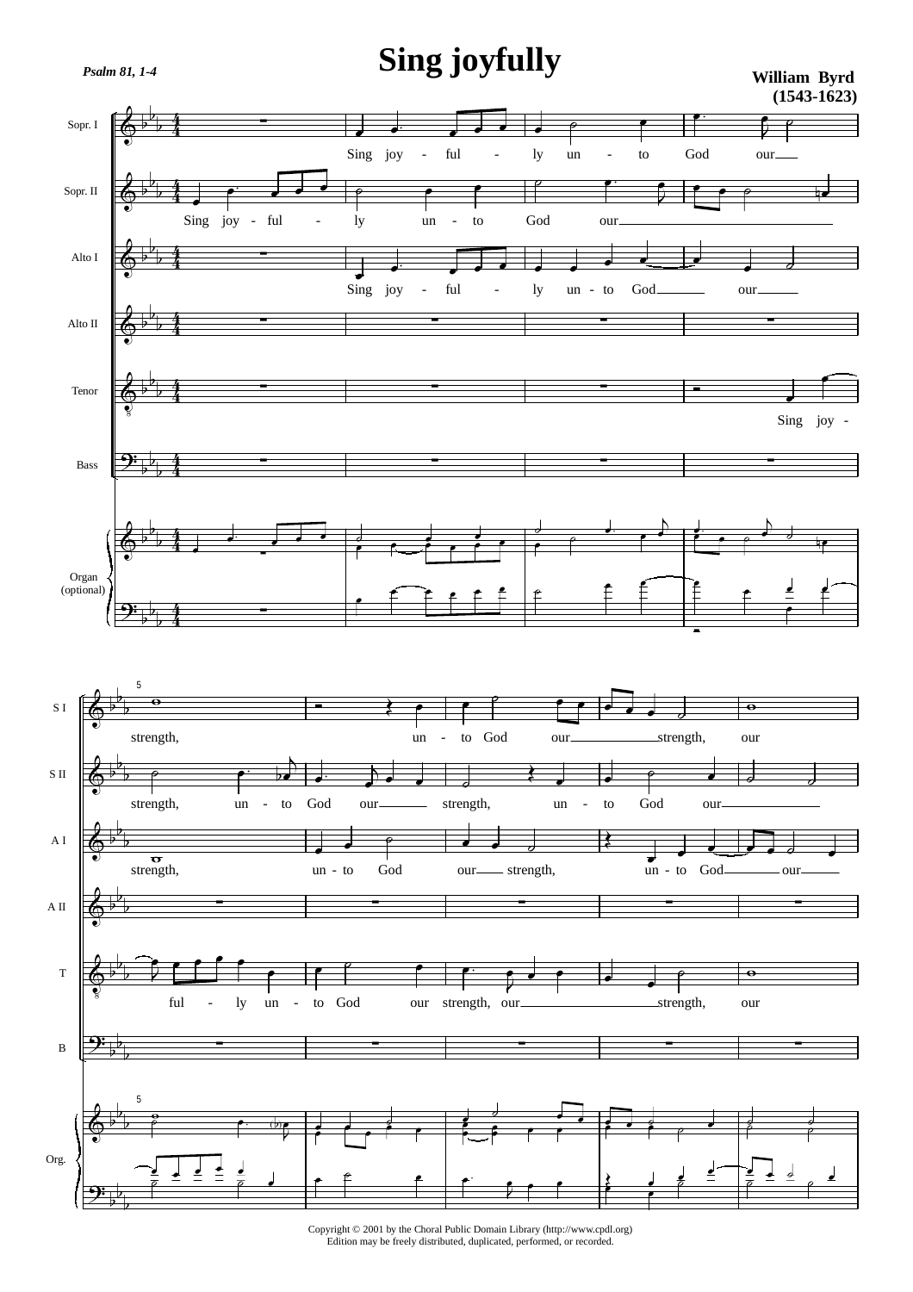*Psalm 81, 1-4*

l<br>C

## **Sing joyfully William Byrd**





Copyright © 2001 by the Choral Public Domain Library (http://www.cpdl.org) Edition may be freely distributed, duplicated, performed, or recorded.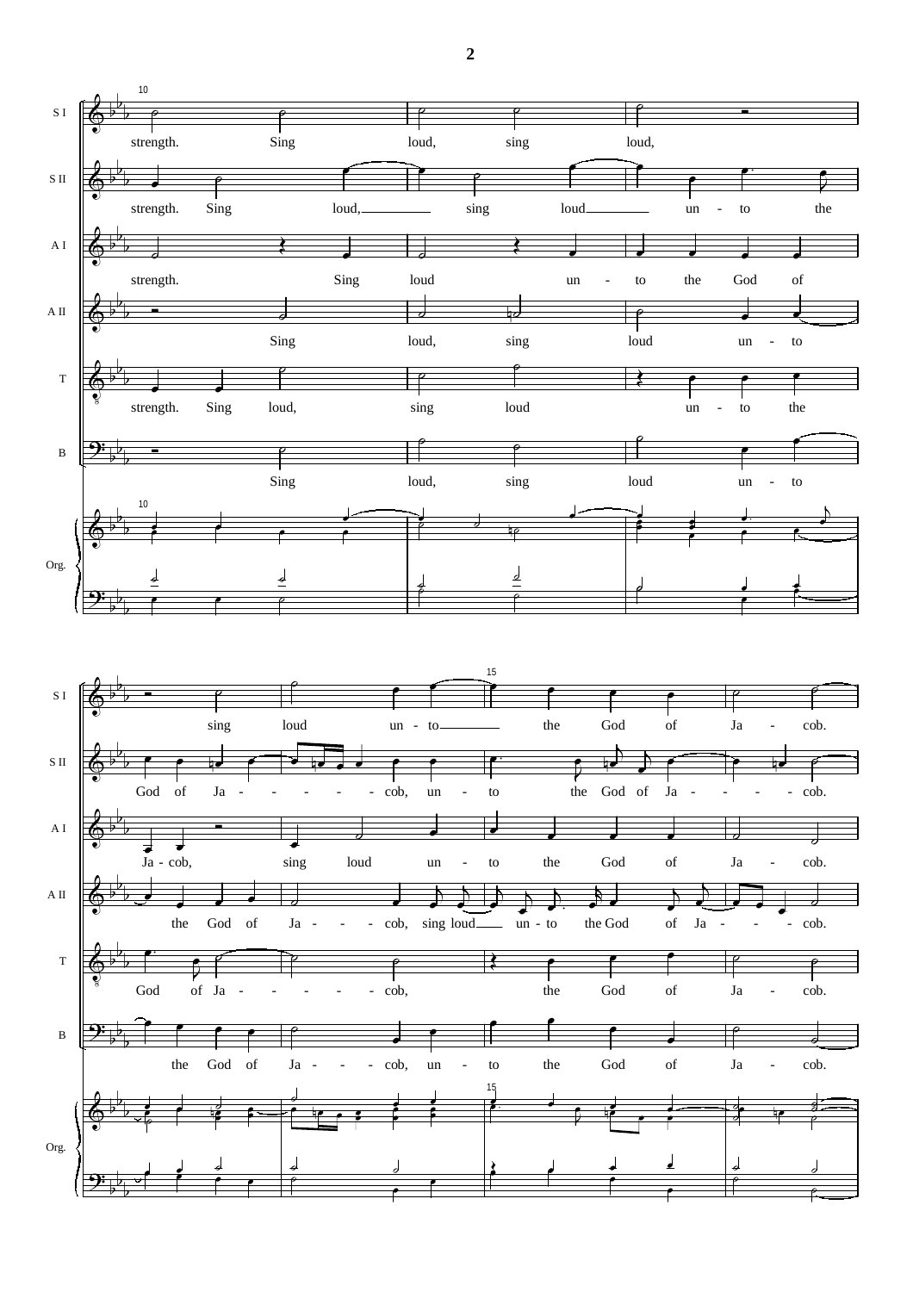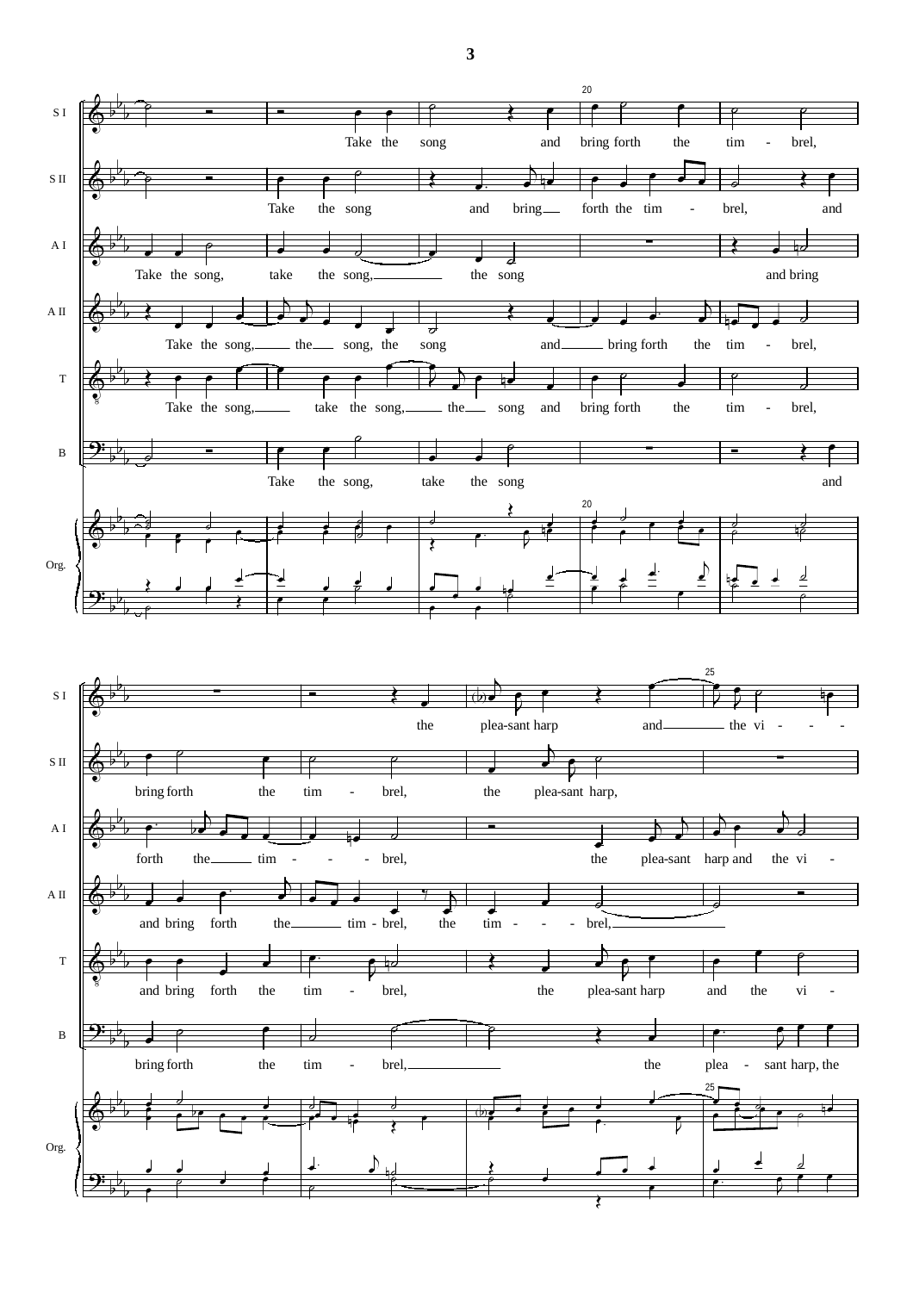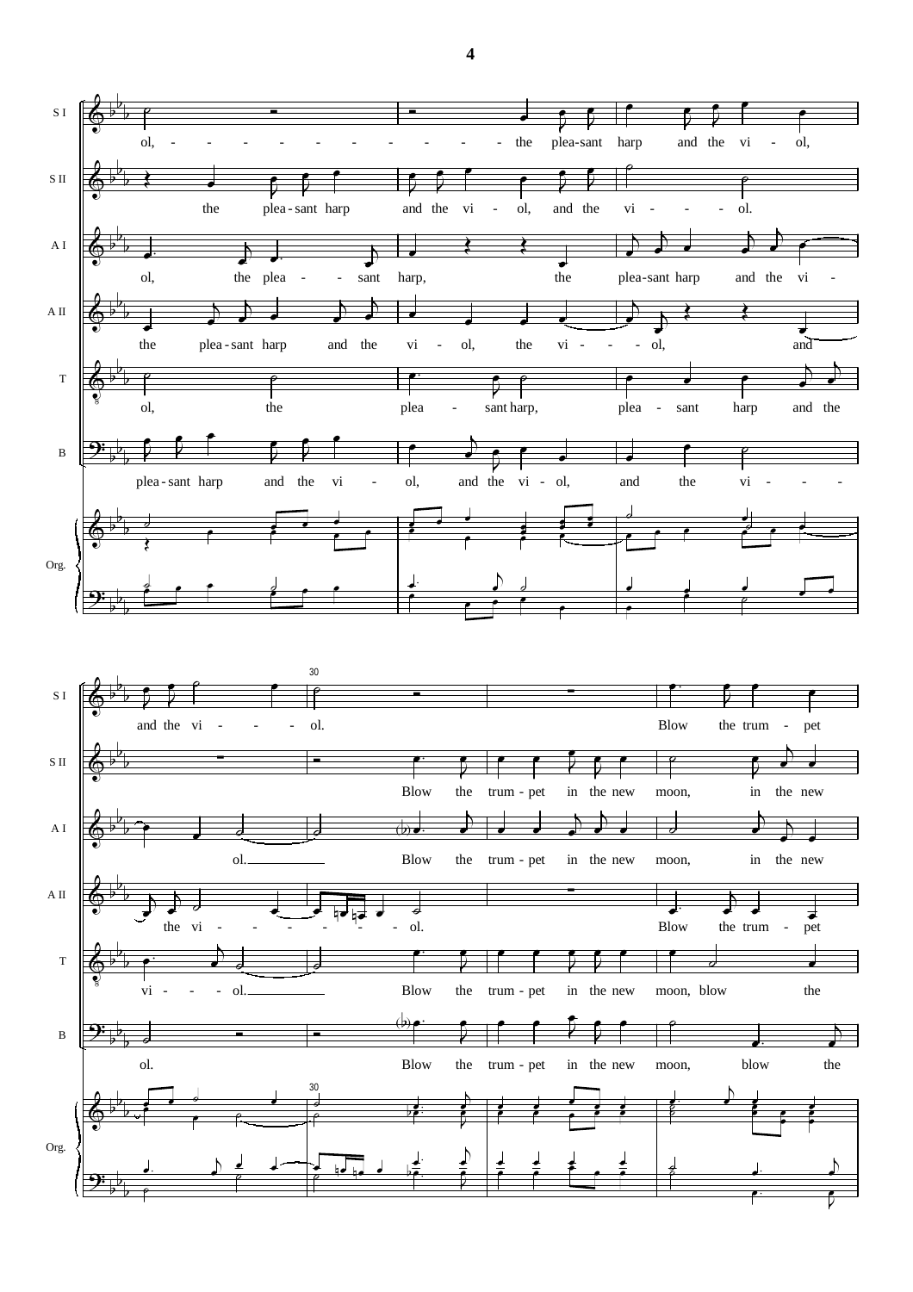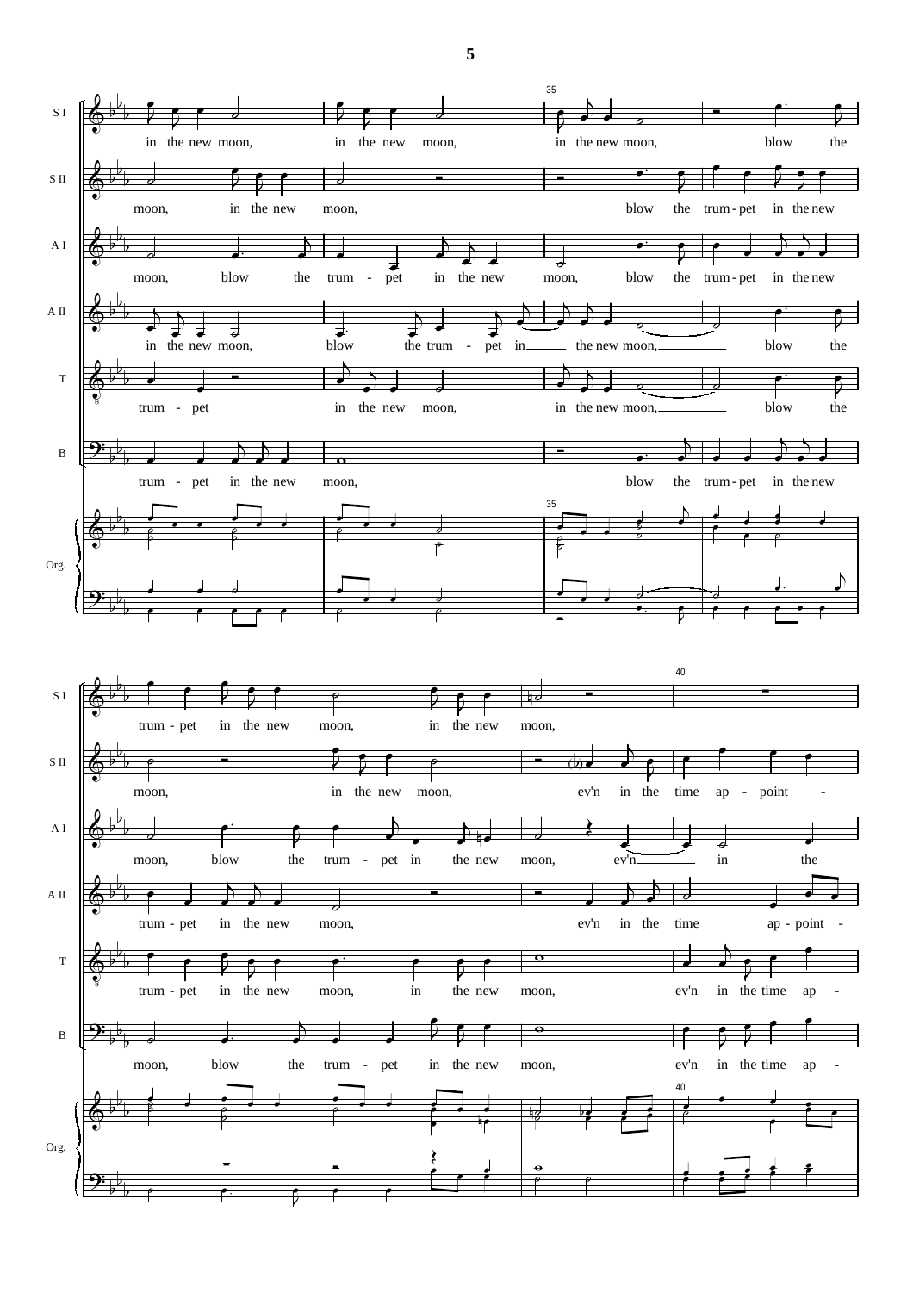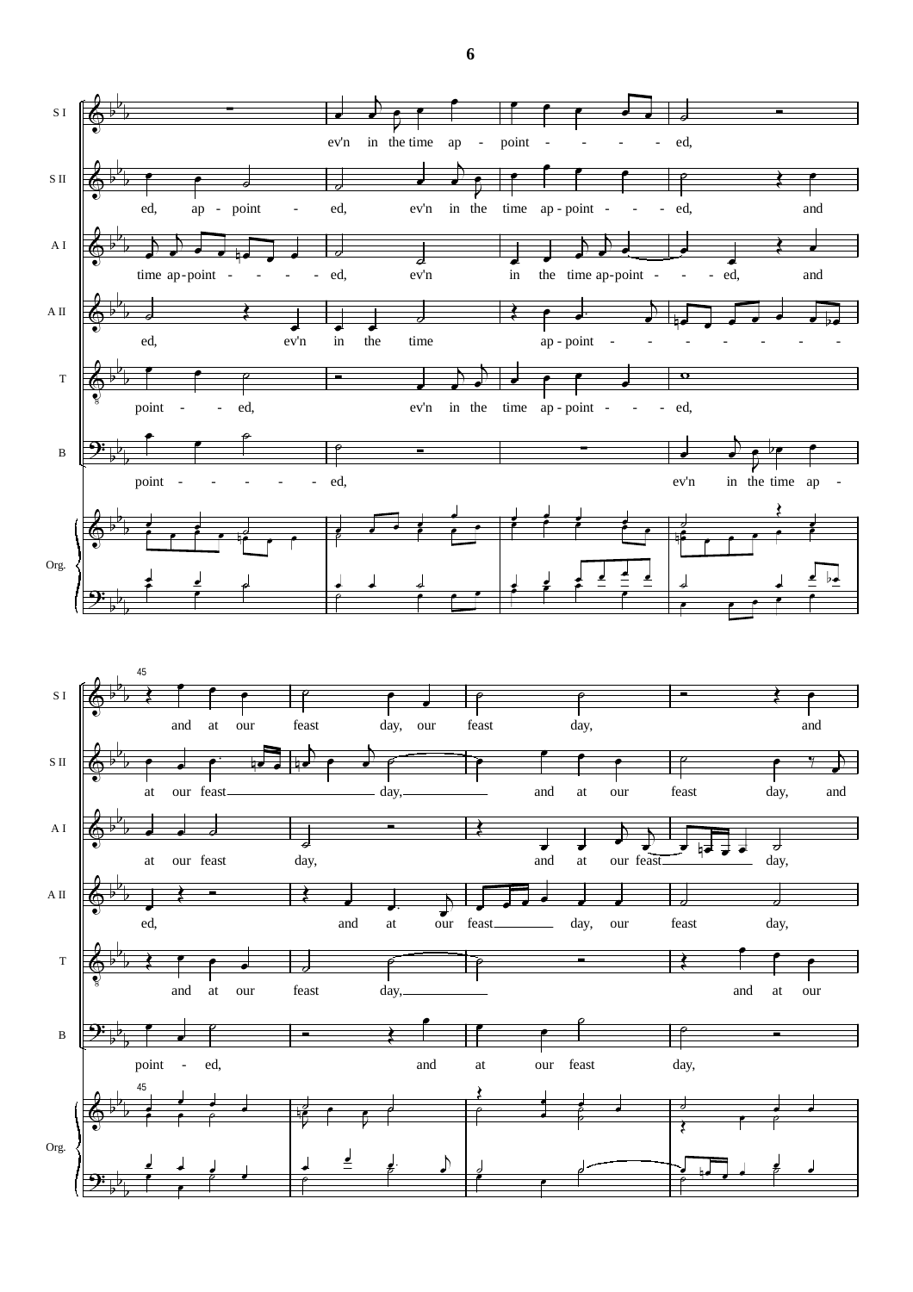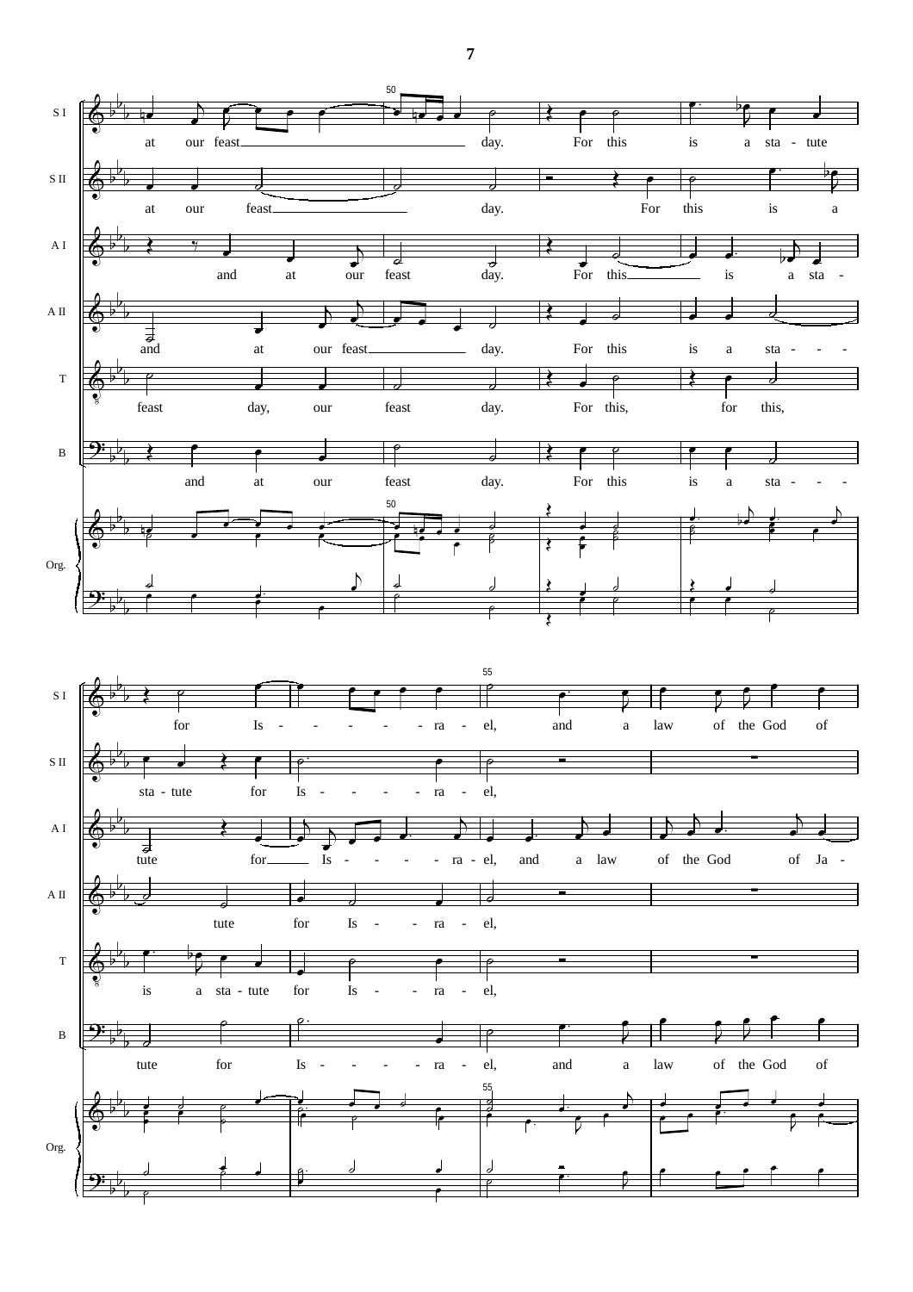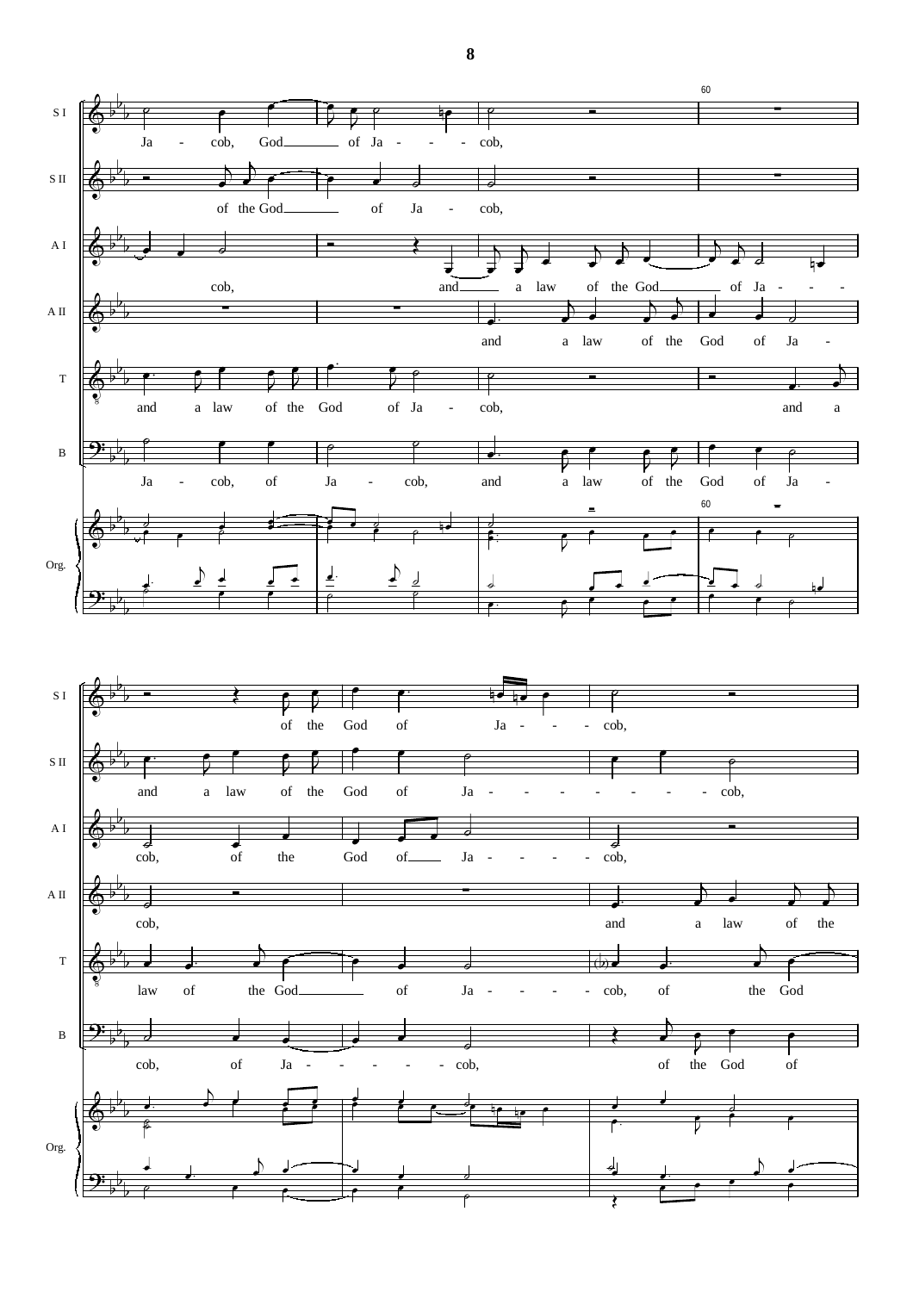

<sup>œ</sup> <sup>œ</sup> ˙ <sup>œ</sup> <sup>œ</sup> ˙

œ œ

 $\frac{y}{\sqrt{2}}$ 

b  $\frac{1}{1}$ l **□**<br>◎ ●<br>● ●